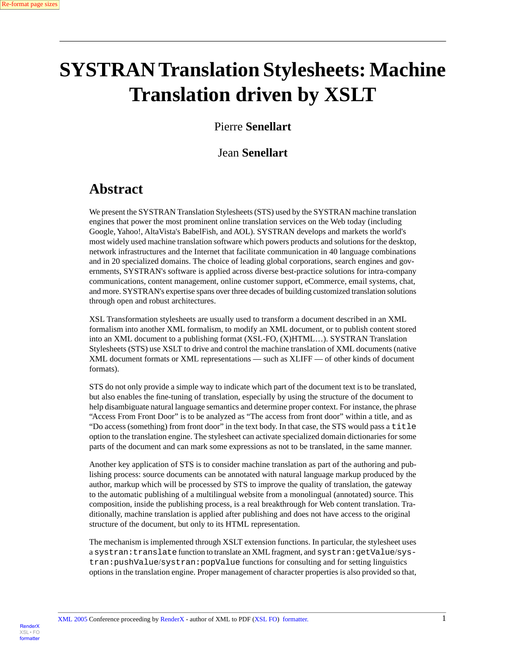Render<sub>)</sub>

[XSL•](http://www.google.com/search?q=http://www.w3.org/Style/XSL&btnI=I%27m+Feeling+Lucky) FO formatte

# **SYSTRAN Translation Stylesheets: Machine Translation driven by XSLT**

## Pierre **Senellart**

## Jean **Senellart**

## **Abstract**

We present the SYSTRAN Translation Stylesheets (STS) used by the SYSTRAN machine translation engines that power the most prominent online translation services on the Web today (including Google, Yahoo!, AltaVista's BabelFish, and AOL). SYSTRAN develops and markets the world's most widely used machine translation software which powers products and solutions for the desktop, network infrastructures and the Internet that facilitate communication in 40 language combinations and in 20 specialized domains. The choice of leading global corporations, search engines and governments, SYSTRAN's software is applied across diverse best-practice solutions for intra-company communications, content management, online customer support, eCommerce, email systems, chat, and more. SYSTRAN's expertise spans over three decades of building customized translation solutions through open and robust architectures.

XSL Transformation stylesheets are usually used to transform a document described in an XML formalism into another XML formalism, to modify an XML document, or to publish content stored into an XML document to a publishing format (XSL-FO, (X)HTML…). SYSTRAN Translation Stylesheets (STS) use XSLT to drive and control the machine translation of XML documents (native XML document formats or XML representations — such as XLIFF — of other kinds of document formats).

STS do not only provide a simple way to indicate which part of the document text is to be translated, but also enables the fine-tuning of translation, especially by using the structure of the document to help disambiguate natural language semantics and determine proper context. For instance, the phrase "Access From Front Door" is to be analyzed as "The access from front door" within a title, and as "Do access (something) from front door" in the text body. In that case, the STS would pass a title option to the translation engine. The stylesheet can activate specialized domain dictionaries for some parts of the document and can mark some expressions as not to be translated, in the same manner.

Another key application of STS is to consider machine translation as part of the authoring and publishing process: source documents can be annotated with natural language markup produced by the author, markup which will be processed by STS to improve the quality of translation, the gateway to the automatic publishing of a multilingual website from a monolingual (annotated) source. This composition, inside the publishing process, is a real breakthrough for Web content translation. Traditionally, machine translation is applied after publishing and does not have access to the original structure of the document, but only to its HTML representation.

The mechanism is implemented through XSLT extension functions. In particular, the stylesheet uses a systran:translate function to translate an XML fragment, and systran:getValue/systran:pushValue/systran:popValue functions for consulting and for setting linguistics options in the translation engine. Proper management of character properties is also provided so that,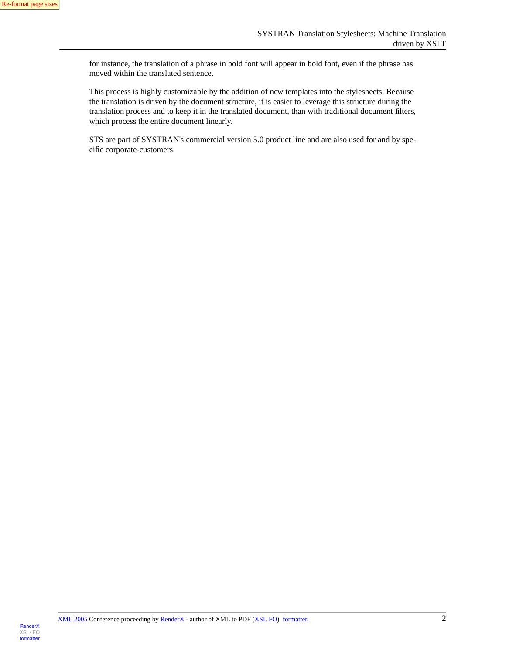for instance, the translation of a phrase in bold font will appear in bold font, even if the phrase has moved within the translated sentence.

This process is highly customizable by the addition of new templates into the stylesheets. Because the translation is driven by the document structure, it is easier to leverage this structure during the translation process and to keep it in the translated document, than with traditional document filters, which process the entire document linearly.

STS are part of SYSTRAN's commercial version 5.0 product line and are also used for and by specific corporate-customers.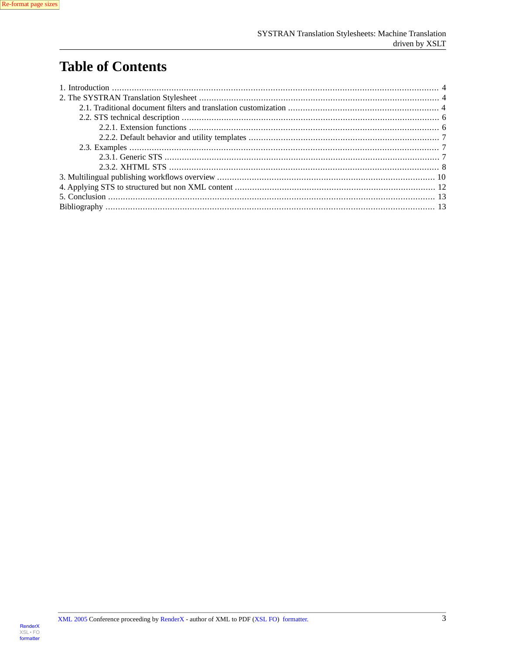## **Table of Contents**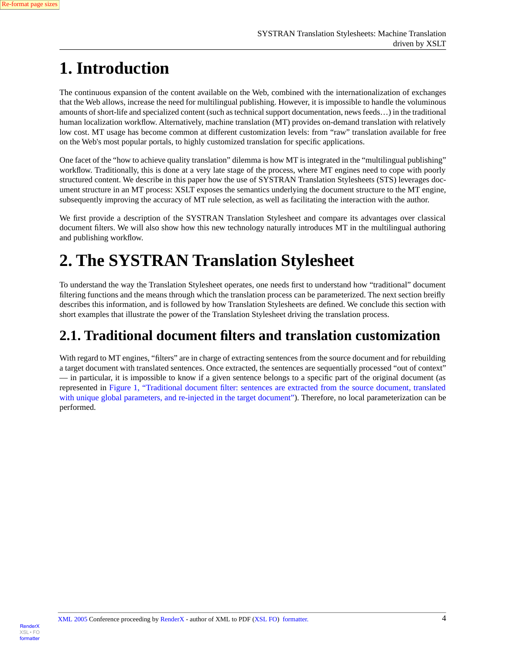

# <span id="page-3-0"></span>**1. Introduction**

The continuous expansion of the content available on the Web, combined with the internationalization of exchanges that the Web allows, increase the need for multilingual publishing. However, it is impossible to handle the voluminous amounts of short-life and specialized content (such as technical support documentation, news feeds…) in the traditional human localization workflow. Alternatively, machine translation (MT) provides on-demand translation with relatively low cost. MT usage has become common at different customization levels: from "raw" translation available for free on the Web's most popular portals, to highly customized translation for specific applications.

One facet of the "how to achieve quality translation" dilemma is how MT is integrated in the "multilingual publishing" workflow. Traditionally, this is done at a very late stage of the process, where MT engines need to cope with poorly structured content. We describe in this paper how the use of SYSTRAN Translation Stylesheets (STS) leverages document structure in an MT process: XSLT exposes the semantics underlying the document structure to the MT engine, subsequently improving the accuracy of MT rule selection, as well as facilitating the interaction with the author.

<span id="page-3-1"></span>We first provide a description of the SYSTRAN Translation Stylesheet and compare its advantages over classical document filters. We will also show how this new technology naturally introduces MT in the multilingual authoring and publishing workflow.

# **2. The SYSTRAN Translation Stylesheet**

<span id="page-3-2"></span>To understand the way the Translation Stylesheet operates, one needs first to understand how "traditional" document filtering functions and the means through which the translation process can be parameterized. The next section breifly describes this information, and is followed by how Translation Stylesheets are defined. We conclude this section with short examples that illustrate the power of the Translation Stylesheet driving the translation process.

## **2.1. Traditional document filters and translation customization**

With regard to MT engines, "filters" are in charge of extracting sentences from the source document and for rebuilding a target document with translated sentences. Once extracted, the sentences are sequentially processed "out of context" — in particular, it is impossible to know if a given sentence belongs to a specific part of the original document (as represented in [Figure 1, "Traditional document filter: sentences are extracted from the source document, translated](#page-4-0) [with unique global parameters, and re-injected in the target document"](#page-4-0)). Therefore, no local parameterization can be performed.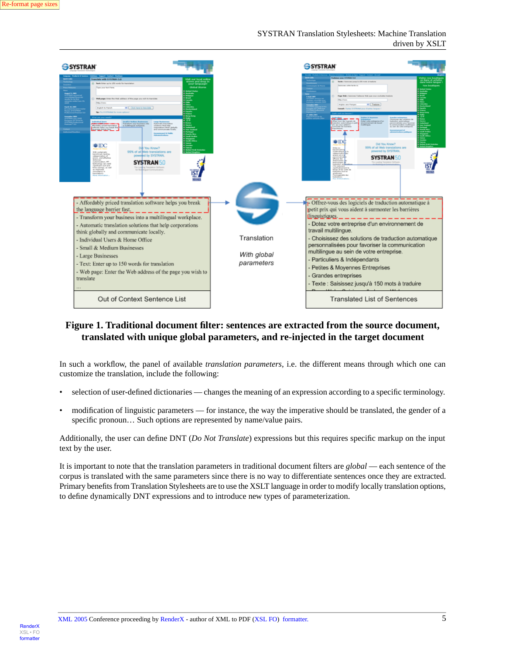#### SYSTRAN Translation Stylesheets: Machine Translation driven by XSLT

<span id="page-4-0"></span>

#### **Figure 1. Traditional document filter: sentences are extracted from the source document, translated with unique global parameters, and re-injected in the target document**

In such a workflow, the panel of available *translation parameters*, i.e. the different means through which one can customize the translation, include the following:

- selection of user-defined dictionaries changes the meaning of an expression according to a specific terminology.
- modification of linguistic parameters for instance, the way the imperative should be translated, the gender of a specific pronoun... Such options are represented by name/value pairs.

Additionally, the user can define DNT (*Do Not Translate*) expressions but this requires specific markup on the input text by the user.

It is important to note that the translation parameters in traditional document filters are *global* — each sentence of the corpus is translated with the same parameters since there is no way to differentiate sentences once they are extracted. Primary benefits from Translation Stylesheets are to use the XSLT language in order to modify locally translation options, to define dynamically DNT expressions and to introduce new types of parameterization.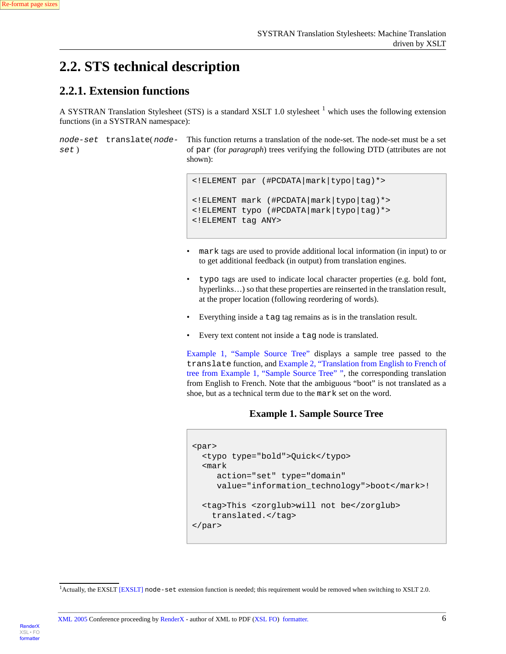

[RenderX](http://www.google.com/search?q=http://www.renderx.com&btnI=I%27m+Feeling+Lucky)

[XSL•](http://www.google.com/search?q=http://www.w3.org/Style/XSL&btnI=I%27m+Feeling+Lucky) FO formatte

## <span id="page-5-1"></span><span id="page-5-0"></span>**2.2. STS technical description**

### **2.2.1. Extension functions**

A SYSTRAN Translation Stylesheet (STS) is a standard XSLT 1.0 stylesheet <sup>1</sup> which uses the following extension functions (in a SYSTRAN namespace):

*node-set* translate( *nodeset* )

This function returns a translation of the node-set. The node-set must be a set of par (for *paragraph*) trees verifying the following DTD (attributes are not shown):

```
<!ELEMENT par (#PCDATA|mark|typo|tag)*> 
<!ELEMENT mark (#PCDATA|mark|typo|tag)*>
<!ELEMENT typo (#PCDATA|mark|typo|tag)*>
<!ELEMENT tag ANY>
```
- mark tags are used to provide additional local information (in input) to or to get additional feedback (in output) from translation engines.
- typo tags are used to indicate local character properties (e.g. bold font, hyperlinks...) so that these properties are reinserted in the translation result, at the proper location (following reordering of words).
- Everything inside a tag tag remains as is in the translation result.
- Every text content not inside a tag node is translated.

<span id="page-5-2"></span>[Example 1, "Sample Source Tree"](#page-5-2) displays a sample tree passed to the translate function, and [Example 2, "Translation from English to French of](#page-6-3) [tree from Example 1, "Sample Source Tree"](#page-6-3) ", the corresponding translation from English to French. Note that the ambiguous "boot" is not translated as a shoe, but as a technical term due to the mark set on the word.

### **Example 1. Sample Source Tree**

```
<par>
   <typo type="bold">Quick</typo>
   <mark
      action="set" type="domain"
     value="information_technology">boot</mark>!
   <tag>This <zorglub>will not be</zorglub> 
    translated.</tag>
</par>
```
 $1$ Actually, the EXSLT [\[EXSLT\]](#page-13-0) node-set extension function is needed; this requirement would be removed when switching to XSLT 2.0.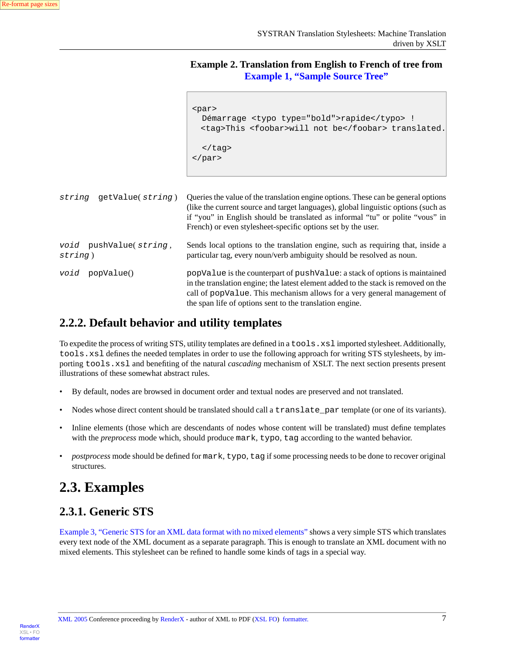<span id="page-6-3"></span>**Example 2. Translation from English to French of tree from [Example 1, "Sample Source Tree"](#page-5-2)**

```
<par>
   Démarrage <typo type="bold">rapide</typo> !
  <tag>This <foobar>will not be</foobar> translated.
  \langletag>
</par>
```

| getValue(string)<br>string        | Queries the value of the translation engine options. These can be general options<br>(like the current source and target languages), global linguistic options (such as<br>if "you" in English should be translated as informal "tu" or polite "yous" in<br>French) or even stylesheet-specific options set by the user. |
|-----------------------------------|--------------------------------------------------------------------------------------------------------------------------------------------------------------------------------------------------------------------------------------------------------------------------------------------------------------------------|
| void pushValue(string,<br>string) | Sends local options to the translation engine, such as requiring that, inside a<br>particular tag, every noun/verb ambiguity should be resolved as noun.                                                                                                                                                                 |
| void<br>popValue()                | popValue is the counterpart of pushValue: a stack of options is maintained<br>in the translation engine; the latest element added to the stack is removed on the<br>call of popValue. This mechanism allows for a very general management of<br>the span life of options sent to the translation engine.                 |

### <span id="page-6-0"></span>**2.2.2. Default behavior and utility templates**

To expedite the process of writing STS, utility templates are defined in a tools.xsl imported stylesheet. Additionally, tools.xsl defines the needed templates in order to use the following approach for writing STS stylesheets, by importing tools.xsl and benefiting of the natural *cascading* mechanism of XSLT. The next section presents present illustrations of these somewhat abstract rules.

- By default, nodes are browsed in document order and textual nodes are preserved and not translated.
- Nodes whose direct content should be translated should call a translate par template (or one of its variants).
- <span id="page-6-1"></span>• Inline elements (those which are descendants of nodes whose content will be translated) must define templates with the *preprocess* mode which, should produce mark, typo, tag according to the wanted behavior.
- <span id="page-6-2"></span>• *postprocess* mode should be defined for mark, typo, tag if some processing needs to be done to recover original structures.

## **2.3. Examples**

## **2.3.1. Generic STS**

[Example 3, "Generic STS for an XML data format with no mixed elements"](#page-7-1) shows a very simple STS which translates every text node of the XML document as a separate paragraph. This is enough to translate an XML document with no mixed elements. This stylesheet can be refined to handle some kinds of tags in a special way.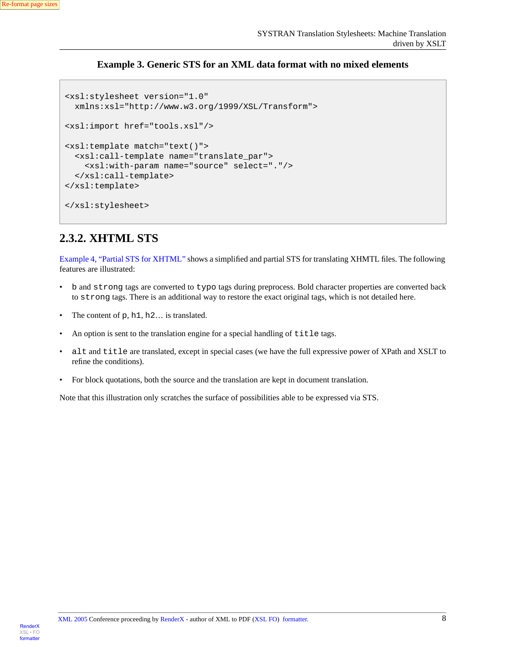

### **Example 3. Generic STS for an XML data format with no mixed elements**

```
<xsl:stylesheet version="1.0"
   xmlns:xsl="http://www.w3.org/1999/XSL/Transform">
<xsl:import href="tools.xsl"/>
<xsl:template match="text()">
   <xsl:call-template name="translate_par">
     <xsl:with-param name="source" select="."/>
   </xsl:call-template>
</xsl:template>
</xsl:stylesheet>
```
### <span id="page-7-0"></span>**2.3.2. XHTML STS**

[Example 4, "Partial STS for XHTML"](#page-8-0) shows a simplified and partial STS for translating XHMTL files. The following features are illustrated:

- b and strong tags are converted to typo tags during preprocess. Bold character properties are converted back to strong tags. There is an additional way to restore the exact original tags, which is not detailed here.
- The content of p, h<sub>1</sub>, h<sub>2</sub>... is translated.
- An option is sent to the translation engine for a special handling of  $\text{title tags}.$
- alt and title are translated, except in special cases (we have the full expressive power of XPath and XSLT to refine the conditions).
- For block quotations, both the source and the translation are kept in document translation.

Note that this illustration only scratches the surface of possibilities able to be expressed via STS.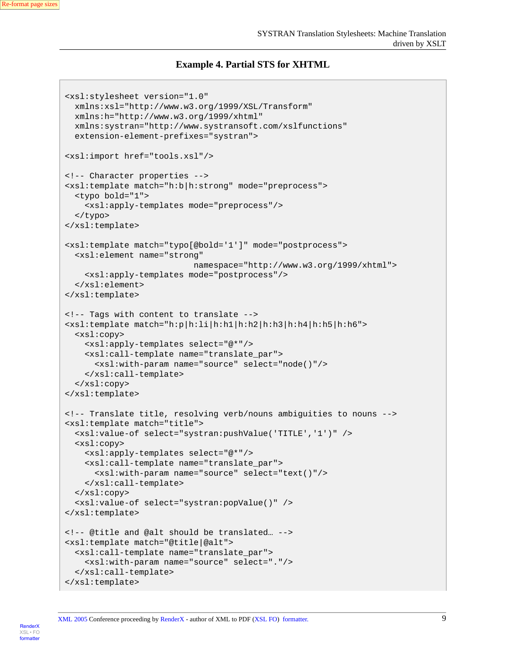#### **Example 4. Partial STS for XHTML**

```
<xsl:stylesheet version="1.0"
  xmlns:xsl="http://www.w3.org/1999/XSL/Transform"
  xmlns:h="http://www.w3.org/1999/xhtml"
  xmlns:systran="http://www.systransoft.com/xslfunctions"
  extension-element-prefixes="systran">
<xsl:import href="tools.xsl"/>
<!-- Character properties -->
<xsl:template match="h:b|h:strong" mode="preprocess">
   <typo bold="1">
     <xsl:apply-templates mode="preprocess"/>
   </typo>
</xsl:template>
<xsl:template match="typo[@bold='1']" mode="postprocess">
   <xsl:element name="strong"
                            namespace="http://www.w3.org/1999/xhtml">
     <xsl:apply-templates mode="postprocess"/> 
  </xsl:element>
</xsl:template>
<!-- Tags with content to translate -->
<xsl:template match="h:p|h:li|h:h1|h:h2|h:h3|h:h4|h:h5|h:h6">
   <xsl:copy>
     <xsl:apply-templates select="@*"/>
     <xsl:call-template name="translate_par">
       <xsl:with-param name="source" select="node()"/>
     </xsl:call-template>
  </xsl:copy>
</xsl:template>
<!-- Translate title, resolving verb/nouns ambiguities to nouns -->
<xsl:template match="title">
   <xsl:value-of select="systran:pushValue('TITLE','1')" />
   <xsl:copy>
     <xsl:apply-templates select="@*"/>
     <xsl:call-template name="translate_par">
       <xsl:with-param name="source" select="text()"/>
     </xsl:call-template>
   </xsl:copy>
   <xsl:value-of select="systran:popValue()" />
</xsl:template>
<!-- @title and @alt should be translated… -->
<xsl:template match="@title|@alt">
   <xsl:call-template name="translate_par">
     <xsl:with-param name="source" select="."/>
   </xsl:call-template>
</xsl:template>
```


[XML 2005](http://2005.xmlconference.org/) Conference proceeding by [RenderX](http://www.renderx.com) - author of XML to PDF [\(XSL FO\)](http://www.w3.org/Style/XSL) [formatter.](http://www.renderx.com/tools/xep.html) 9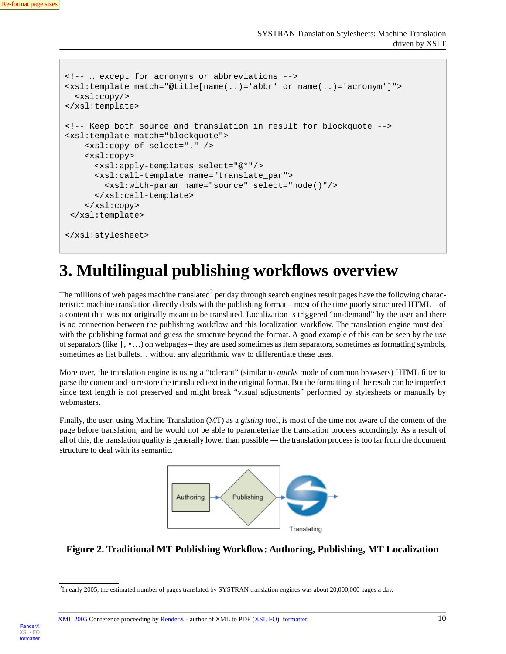[RenderX](http://www.google.com/search?q=http://www.renderx.com&btnI=I%27m+Feeling+Lucky)

[XSL•](http://www.google.com/search?q=http://www.w3.org/Style/XSL&btnI=I%27m+Feeling+Lucky) FO formatte

```
<!-- … except for acronyms or abbreviations -->
<xsl:template match="@title[name(..)='abbr' or name(..)='acronym']">
  <xsl:copy/>
</xsl:template>
<!-- Keep both source and translation in result for blockquote -->
<xsl:template match="blockquote">
     <xsl:copy-of select="." />
     <xsl:copy>
       <xsl:apply-templates select="@*"/>
       <xsl:call-template name="translate_par">
         <xsl:with-param name="source" select="node()"/>
       </xsl:call-template>
     </xsl:copy> 
 </xsl:template>
</xsl:stylesheet>
```
## <span id="page-9-0"></span>**3. Multilingual publishing workflows overview**

The millions of web pages machine translated<sup>2</sup> per day through search engines result pages have the following characteristic: machine translation directly deals with the publishing format – most of the time poorly structured HTML – of a content that was not originally meant to be translated. Localization is triggered "on-demand" by the user and there is no connection between the publishing workflow and this localization workflow. The translation engine must deal with the publishing format and guess the structure beyond the format. A good example of this can be seen by the use of separators (like  $\vert \cdot \cdot \cdot \rangle$ ) on webpages – they are used sometimes as item separators, sometimes as formatting symbols, sometimes as list bullets… without any algorithmic way to differentiate these uses.

More over, the translation engine is using a "tolerant" (similar to *quirks* mode of common browsers) HTML filter to parse the content and to restore the translated text in the original format. But the formatting of the result can be imperfect since text length is not preserved and might break "visual adjustments" performed by stylesheets or manually by webmasters.

<span id="page-9-1"></span>Finally, the user, using Machine Translation (MT) as a *gisting* tool, is most of the time not aware of the content of the page before translation; and he would not be able to parameterize the translation process accordingly. As a result of all of this, the translation quality is generally lower than possible — the translation process is too far from the document structure to deal with its semantic.



### **Figure 2. Traditional MT Publishing Workflow: Authoring, Publishing, MT Localization**

<sup>&</sup>lt;sup>2</sup>In early 2005, the estimated number of pages translated by SYSTRAN translation engines was about 20,000,000 pages a day.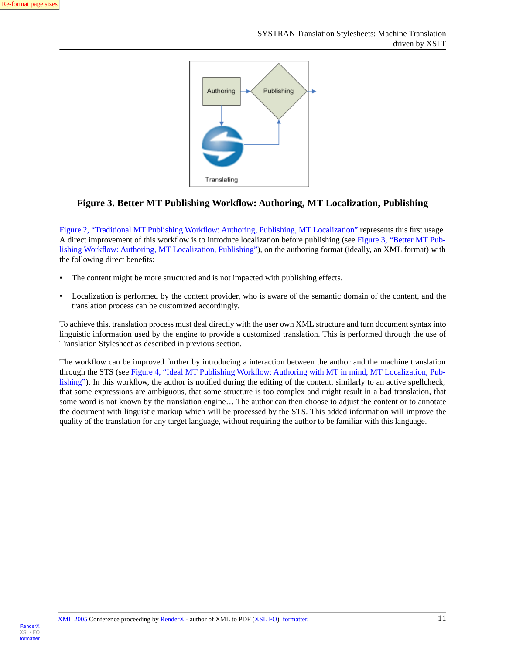<span id="page-10-0"></span>

#### **Figure 3. Better MT Publishing Workflow: Authoring, MT Localization, Publishing**

[Figure 2, "Traditional MT Publishing Workflow: Authoring, Publishing, MT Localization"](#page-9-1) represents this first usage. A direct improvement of this workflow is to introduce localization before publishing (see [Figure 3, "Better MT Pub](#page-10-0)[lishing Workflow: Authoring, MT Localization, Publishing"\)](#page-10-0), on the authoring format (ideally, an XML format) with the following direct benefits:

- The content might be more structured and is not impacted with publishing effects.
- Localization is performed by the content provider, who is aware of the semantic domain of the content, and the translation process can be customized accordingly.

To achieve this, translation process must deal directly with the user own XML structure and turn document syntax into linguistic information used by the engine to provide a customized translation. This is performed through the use of Translation Stylesheet as described in previous section.

The workflow can be improved further by introducing a interaction between the author and the machine translation through the STS (see [Figure 4, "Ideal MT Publishing Workflow: Authoring with MT in mind, MT Localization, Pub](#page-11-1)[lishing"\)](#page-11-1). In this workflow, the author is notified during the editing of the content, similarly to an active spellcheck, that some expressions are ambiguous, that some structure is too complex and might result in a bad translation, that some word is not known by the translation engine… The author can then choose to adjust the content or to annotate the document with linguistic markup which will be processed by the STS. This added information will improve the quality of the translation for any target language, without requiring the author to be familiar with this language.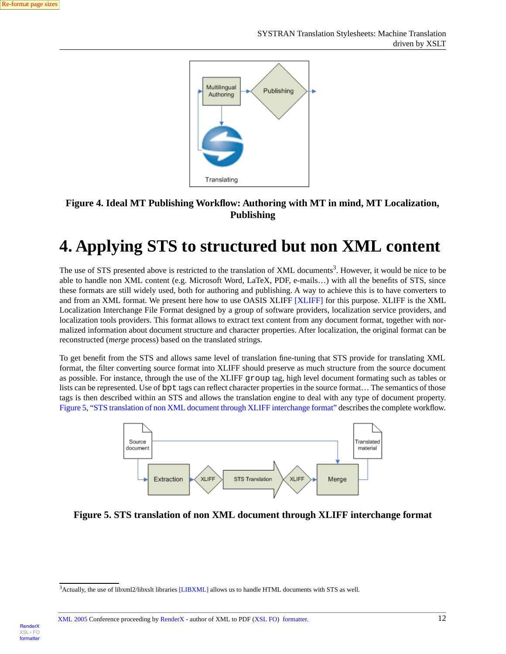**Render**X

[XSL•](http://www.google.com/search?q=http://www.w3.org/Style/XSL&btnI=I%27m+Feeling+Lucky) FO formatte

<span id="page-11-1"></span>

### <span id="page-11-0"></span>**Figure 4. Ideal MT Publishing Workflow: Authoring with MT in mind, MT Localization, Publishing**

## **4. Applying STS to structured but non XML content**

The use of STS presented above is restricted to the translation of XML documents<sup>3</sup>. However, it would be nice to be able to handle non XML content (e.g. Microsoft Word, LaTeX, PDF, e-mails…) with all the benefits of STS, since these formats are still widely used, both for authoring and publishing. A way to achieve this is to have converters to and from an XML format. We present here how to use OASIS XLIFF [\[XLIFF\]](#page-13-1) for this purpose. XLIFF is the XML Localization Interchange File Format designed by a group of software providers, localization service providers, and localization tools providers. This format allows to extract text content from any document format, together with normalized information about document structure and character properties. After localization, the original format can be reconstructed (*merge* process) based on the translated strings.

<span id="page-11-2"></span>To get benefit from the STS and allows same level of translation fine-tuning that STS provide for translating XML format, the filter converting source format into XLIFF should preserve as much structure from the source document as possible. For instance, through the use of the XLIFF group tag, high level document formating such as tables or lists can be represented. Use of bpt tags can reflect character properties in the source format... The semantics of those tags is then described within an STS and allows the translation engine to deal with any type of document property. [Figure 5, "STS translation of non XML document through XLIFF interchange format"](#page-11-2) describes the complete workflow.



**Figure 5. STS translation of non XML document through XLIFF interchange format**

<sup>&</sup>lt;sup>3</sup>Actually, the use of libxml2/libxslt libraries [\[LIBXML\]](#page-13-2) allows us to handle HTML documents with STS as well.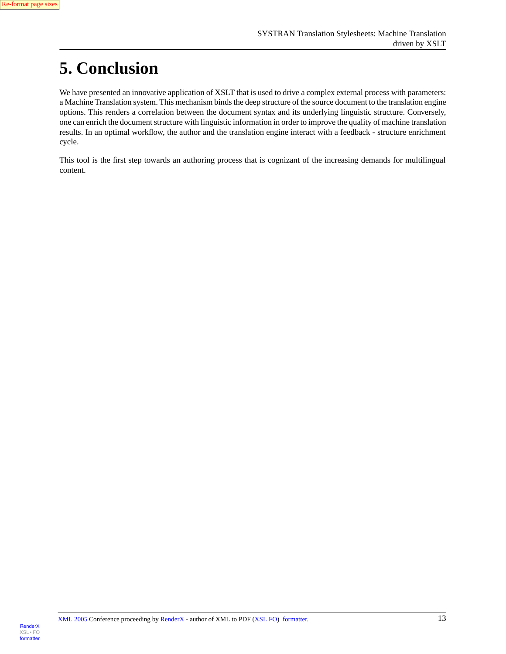

# <span id="page-12-0"></span>**5. Conclusion**

We have presented an innovative application of XSLT that is used to drive a complex external process with parameters: a Machine Translation system. This mechanism binds the deep structure of the source document to the translation engine options. This renders a correlation between the document syntax and its underlying linguistic structure. Conversely, one can enrich the document structure with linguistic information in order to improve the quality of machine translation results. In an optimal workflow, the author and the translation engine interact with a feedback - structure enrichment cycle.

<span id="page-12-1"></span>This tool is the first step towards an authoring process that is cognizant of the increasing demands for multilingual content.

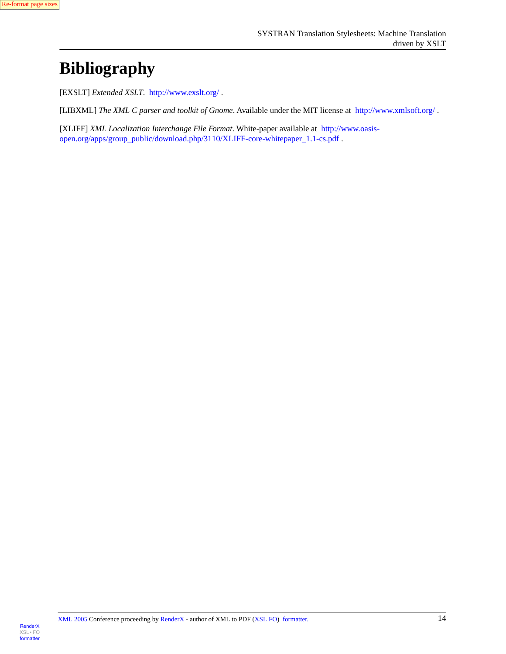# **Bibliography**

<span id="page-13-2"></span><span id="page-13-0"></span>[EXSLT] *Extended XSLT*. <http://www.exslt.org/> .

<span id="page-13-1"></span>[LIBXML] *The XML C parser and toolkit of Gnome*. Available under the MIT license at <http://www.xmlsoft.org/> .

[XLIFF] *XML Localization Interchange File Format*. White-paper available at [http://www.oasis](http://www.oasis-open.org/apps/group_public/download.php/3110/XLIFF-core-whitepaper_1.1-cs.pdf)[open.org/apps/group\\_public/download.php/3110/XLIFF-core-whitepaper\\_1.1-cs.pdf](http://www.oasis-open.org/apps/group_public/download.php/3110/XLIFF-core-whitepaper_1.1-cs.pdf) .